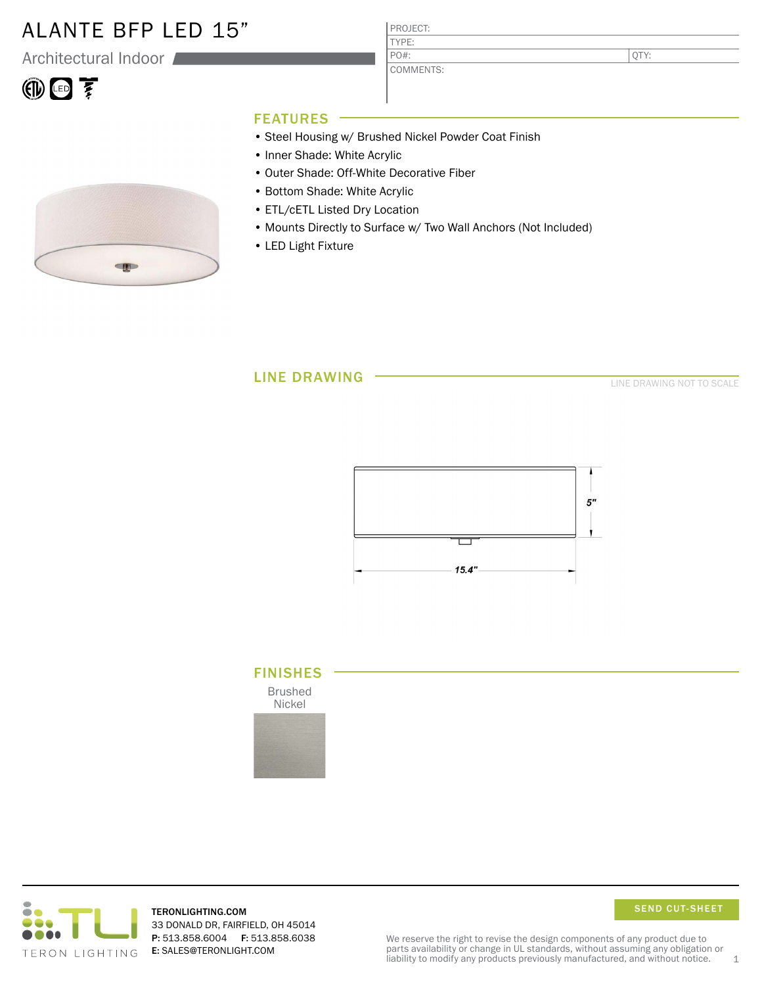### ALANTE BFP LED 15"

Architectural Indoor

# $\circledR$

PROJECT: TYPE:

COMMENTS: PO#:

QTY:

### FEATURES

- Steel Housing w/ Brushed Nickel Powder Coat Finish
- Inner Shade: White Acrylic
- Outer Shade: Off-White Decorative Fiber
- Bottom Shade: White Acrylic
- ETL/cETL Listed Dry Location
- Mounts Directly to Surface w/ Two Wall Anchors (Not Included)
- LED Light Fixture

### LINE DRAWING

LINE DRAWING NOT TO SCALE







TERONLIGHTING.COM 33 DONALD DR, FAIRFIELD, OH 45014 P: 513.858.6004 F: 513.858.6038 E: SALES@TERONLIGHT.COM



We reserve the right to revise the design components of any product due to parts availability or change in UL standards, without assuming any obligation or liability to modify any products previously manufactured, and without notice.  $1$